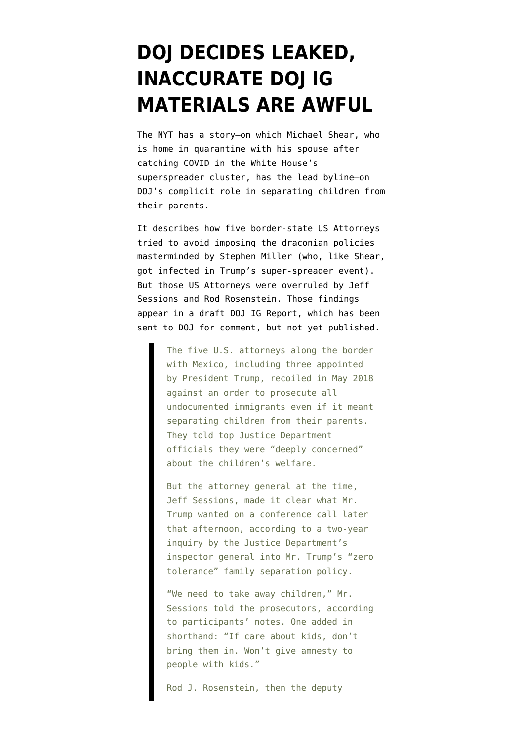## **[DOJ DECIDES LEAKED,](https://www.emptywheel.net/2020/10/07/doj-decides-leaked-inaccurate-doj-ig-reports-are-awful/) [INACCURATE DOJ IG](https://www.emptywheel.net/2020/10/07/doj-decides-leaked-inaccurate-doj-ig-reports-are-awful/) [MATERIALS ARE AWFUL](https://www.emptywheel.net/2020/10/07/doj-decides-leaked-inaccurate-doj-ig-reports-are-awful/)**

The [NYT has a story](https://www.nytimes.com/2020/10/06/us/politics/family-separation-border-immigration-jeff-sessions-rod-rosenstein.html)–on which Michael Shear, who is home in quarantine with his spouse after catching COVID in the White House's superspreader cluster, has the lead byline–on DOJ's complicit role in separating children from their parents.

It describes how five border-state US Attorneys tried to avoid imposing the draconian policies masterminded by Stephen Miller (who, like Shear, got infected in Trump's super-spreader event). But those US Attorneys were overruled by Jeff Sessions and Rod Rosenstein. Those findings appear in a draft DOJ IG Report, which has been sent to DOJ for comment, but not yet published.

> The five U.S. attorneys along the border with Mexico, including three appointed by President Trump, recoiled in May 2018 against an order to prosecute all undocumented immigrants even if it meant separating children from their parents. They told top Justice Department officials they were "deeply concerned" about the children's welfare.

> But the attorney general at the time, Jeff Sessions, made it clear what Mr. Trump wanted on a conference call later that afternoon, according to a two-year inquiry by the Justice Department's inspector general into Mr. Trump's "zero tolerance" family separation policy.

> "We need to take away children," Mr. Sessions told the prosecutors, according to participants' notes. One added in shorthand: "If care about kids, don't bring them in. Won't give amnesty to people with kids."

Rod J. Rosenstein, then the deputy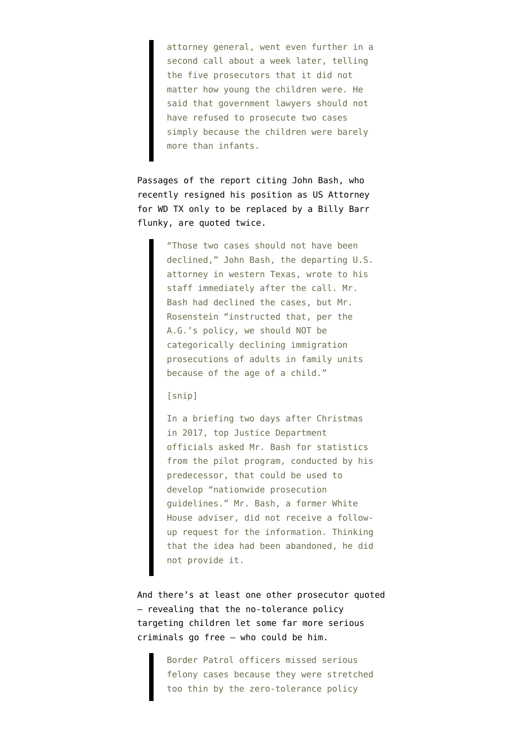attorney general, went even further in a second call about a week later, telling the five prosecutors that it did not matter how young the children were. He said that government lawyers should not have refused to prosecute two cases simply because the children were barely more than infants.

Passages of the report citing John Bash, who recently [resigned his position as US Attorney](https://www.justice.gov/usao-wdtx/pr/united-states-attorney-john-f-bash-announces-resignation) [for WD TX only to be replaced by a Billy Barr](https://www.justice.gov/usao-wdtx/pr/united-states-attorney-john-f-bash-announces-resignation) [flunky](https://www.justice.gov/usao-wdtx/pr/united-states-attorney-john-f-bash-announces-resignation), are quoted twice.

> "Those two cases should not have been declined," John Bash, the departing U.S. attorney in western Texas, wrote to his staff immediately after the call. Mr. Bash had declined the cases, but Mr. Rosenstein "instructed that, per the A.G.'s policy, we should NOT be categorically declining immigration prosecutions of adults in family units because of the age of a child."

## [snip]

In a briefing two days after Christmas in 2017, top Justice Department officials asked Mr. Bash for statistics from the pilot program, conducted by his predecessor, that could be used to develop "nationwide prosecution guidelines." Mr. Bash, a former White House adviser, did not receive a followup request for the information. Thinking that the idea had been abandoned, he did not provide it.

And there's at least one other prosecutor quoted — revealing that the no-tolerance policy targeting children let some far more serious criminals go free — who could be him.

> Border Patrol officers missed serious felony cases because they were stretched too thin by the zero-tolerance policy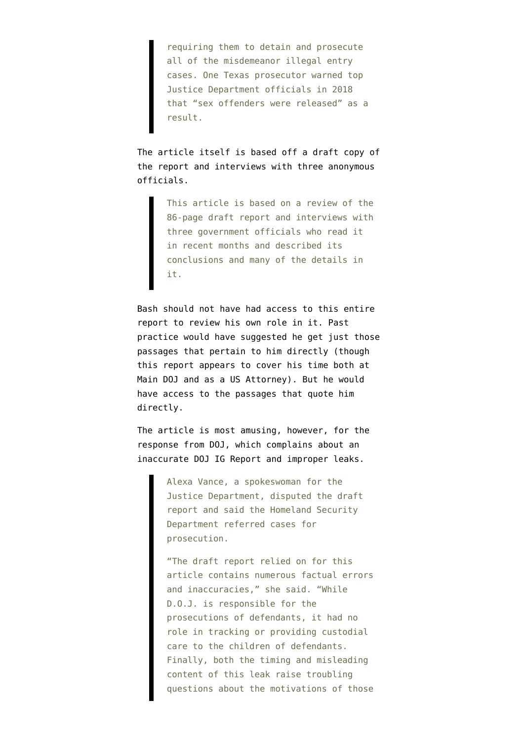requiring them to detain and prosecute all of the misdemeanor illegal entry cases. One Texas prosecutor warned top Justice Department officials in 2018 that "sex offenders were released" as a result.

The article itself is based off a draft copy of the report and interviews with three anonymous officials.

> This article is based on a review of the 86-page draft report and interviews with three government officials who read it in recent months and described its conclusions and many of the details in it.

Bash should not have had access to this entire report to review his own role in it. Past practice would have suggested he get just those passages that pertain to him directly (though this report appears to cover his time both at Main DOJ and as a US Attorney). But he would have access to the passages that quote him directly.

The article is most amusing, however, for the response from DOJ, which complains about an inaccurate DOJ IG Report and improper leaks.

> Alexa Vance, a spokeswoman for the Justice Department, disputed the draft report and said the Homeland Security Department referred cases for prosecution.

"The draft report relied on for this article contains numerous factual errors and inaccuracies," she said. "While D.O.J. is responsible for the prosecutions of defendants, it had no role in tracking or providing custodial care to the children of defendants. Finally, both the timing and misleading content of this leak raise troubling questions about the motivations of those